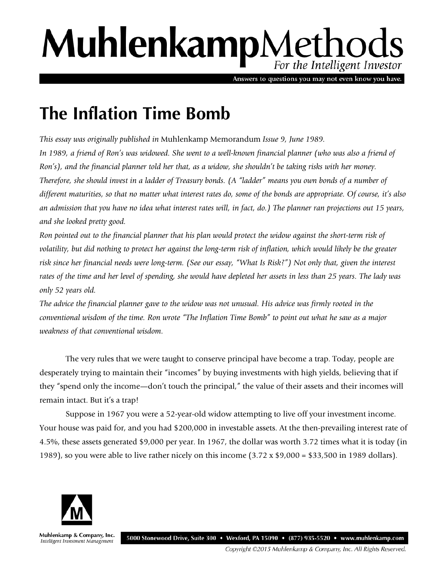# MuhlenkampMethods For the Intelligent Investor

Answers to questions you may not even know you have.

## **The Inflation Time Bomb**

*This essay was originally published in* Muhlenkamp Memorandum *Issue 9, June 1989.*  In 1989, a friend of Ron's was widowed. She went to a well-known financial planner (who was also a friend of *Ron's), and the financial planner told her that, as a widow, she shouldn't be taking risks with her money. Therefore, she should invest in a ladder of Treasury bonds. (A "ladder" means you own bonds of a number of different maturities, so that no matter what interest rates do, some of the bonds are appropriate. Of course, it's also an admission that you have no idea what interest rates will, in fact, do.) The planner ran projections out 15 years, and she looked pretty good.* 

*Ron pointed out to the financial planner that his plan would protect the widow against the short-term risk of volatility, but did nothing to protect her against the long-term risk of inflation, which would likely be the greater risk since her financial needs were long-term. (See our essay, "What Is Risk?") Not only that, given the interest rates of the time and her level of spending, she would have depleted her assets in less than 25 years. The lady was only 52 years old.* 

*The advice the financial planner gave to the widow was not unusual. His advice was firmly rooted in the conventional wisdom of the time. Ron wrote "The Inflation Time Bomb" to point out what he saw as a major weakness of that conventional wisdom.* 

The very rules that we were taught to conserve principal have become a trap. Today, people are desperately trying to maintain their "incomes" by buying investments with high yields, believing that if they "spend only the income—don't touch the principal," the value of their assets and their incomes will remain intact. But it's a trap!

Suppose in 1967 you were a 52-year-old widow attempting to live off your investment income. Your house was paid for, and you had \$200,000 in investable assets. At the then-prevailing interest rate of 4.5%, these assets generated \$9,000 per year. In 1967, the dollar was worth 3.72 times what it is today (in 1989), so you were able to live rather nicely on this income  $(3.72 \times $9,000 = $33,500$  in 1989 dollars).



Muhlenkamp & Company, Inc. 5000 Stonewood Drive, Suite 300 • Wexford, PA 15090 • (877) 935-5520 • www.muhlenkamp.com Intelligent Investment Management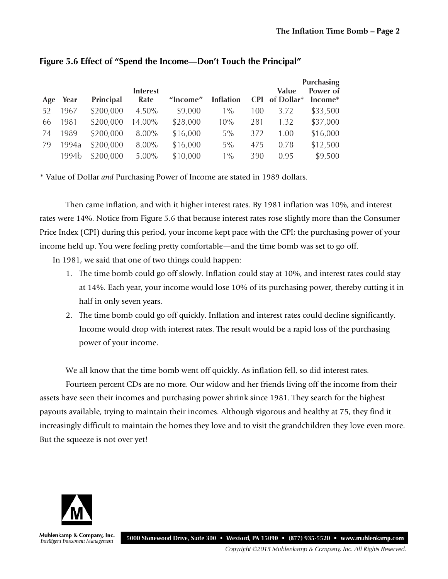|             |           |                  |          |                  |     | <b>Purchasing</b> |                     |  |
|-------------|-----------|------------------|----------|------------------|-----|-------------------|---------------------|--|
| Year<br>Age | Principal | Interest<br>Rate | "Income" | <b>Inflation</b> |     | Value             | Power of<br>Income* |  |
| 1967        | \$200,000 | 4.50%            | \$9,000  | $1\%$            | 100 | 3.72              | \$33,500            |  |
| 1981        | \$200,000 | 14.00%           | \$28,000 | 10%              | 281 | 1.32              | \$37,000            |  |
| 1989        | \$200,000 | 8.00%            | \$16,000 | $5\%$            | 372 | 1.00              | \$16,000            |  |
| 1994a       | \$200,000 | 8.00%            | \$16,000 | $5\%$            | 475 | 0.78              | \$12,500            |  |
| 1994b       | \$200,000 | $5.00\%$         | \$10,000 | $1\%$            | 390 | 0.95              | \$9,500             |  |
|             |           |                  |          |                  |     |                   | CPI of Dollar*      |  |

#### **Figure 5.6 Effect of "Spend the Income—Don't Touch the Principal"**

\* Value of Dollar *and* Purchasing Power of Income are stated in 1989 dollars.

Then came inflation, and with it higher interest rates. By 1981 inflation was 10%, and interest rates were 14%. Notice from Figure 5.6 that because interest rates rose slightly more than the Consumer Price Index (CPI) during this period, your income kept pace with the CPI; the purchasing power of your income held up. You were feeling pretty comfortable—and the time bomb was set to go off.

In 1981, we said that one of two things could happen:

- 1. The time bomb could go off slowly. Inflation could stay at 10%, and interest rates could stay at 14%. Each year, your income would lose 10% of its purchasing power, thereby cutting it in half in only seven years.
- 2. The time bomb could go off quickly. Inflation and interest rates could decline significantly. Income would drop with interest rates. The result would be a rapid loss of the purchasing power of your income.

We all know that the time bomb went off quickly. As inflation fell, so did interest rates.

Fourteen percent CDs are no more. Our widow and her friends living off the income from their assets have seen their incomes and purchasing power shrink since 1981. They search for the highest payouts available, trying to maintain their incomes. Although vigorous and healthy at 75, they find it increasingly difficult to maintain the homes they love and to visit the grandchildren they love even more. But the squeeze is not over yet!



Muhlenkamp & Company, Inc. Intelligent Investment Management

5000 Stonewood Drive, Suite 300 • Wexford, PA 15090 • (877) 935-5520 • www.muhlenkamp.com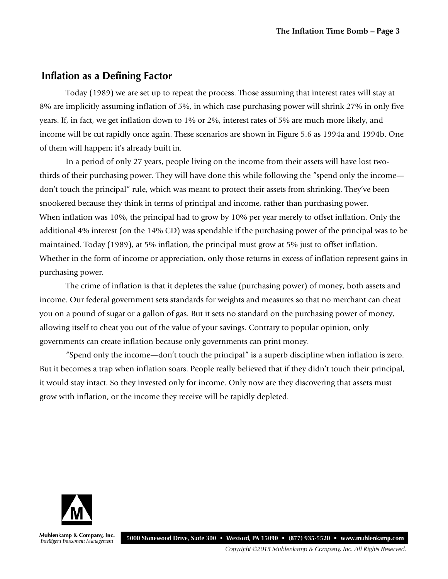#### **Inflation as a Defining Factor**

Today (1989) we are set up to repeat the process. Those assuming that interest rates will stay at 8% are implicitly assuming inflation of 5%, in which case purchasing power will shrink 27% in only five years. If, in fact, we get inflation down to 1% or 2%, interest rates of 5% are much more likely, and income will be cut rapidly once again. These scenarios are shown in Figure 5.6 as 1994a and 1994b. One of them will happen; it's already built in.

In a period of only 27 years, people living on the income from their assets will have lost twothirds of their purchasing power. They will have done this while following the "spend only the income don't touch the principal" rule, which was meant to protect their assets from shrinking. They've been snookered because they think in terms of principal and income, rather than purchasing power. When inflation was 10%, the principal had to grow by 10% per year merely to offset inflation. Only the additional 4% interest (on the 14% CD) was spendable if the purchasing power of the principal was to be maintained. Today (1989), at 5% inflation, the principal must grow at 5% just to offset inflation. Whether in the form of income or appreciation, only those returns in excess of inflation represent gains in purchasing power.

The crime of inflation is that it depletes the value (purchasing power) of money, both assets and income. Our federal government sets standards for weights and measures so that no merchant can cheat you on a pound of sugar or a gallon of gas. But it sets no standard on the purchasing power of money, allowing itself to cheat you out of the value of your savings. Contrary to popular opinion, only governments can create inflation because only governments can print money.

"Spend only the income—don't touch the principal" is a superb discipline when inflation is zero. But it becomes a trap when inflation soars. People really believed that if they didn't touch their principal, it would stay intact. So they invested only for income. Only now are they discovering that assets must grow with inflation, or the income they receive will be rapidly depleted.



Muhlenkamp & Company, Inc. Intelligent Investment Management

5000 Stonewood Drive, Suite 300 • Wexford, PA 15090 • (877) 935-5520 • www.muhlenkamp.com